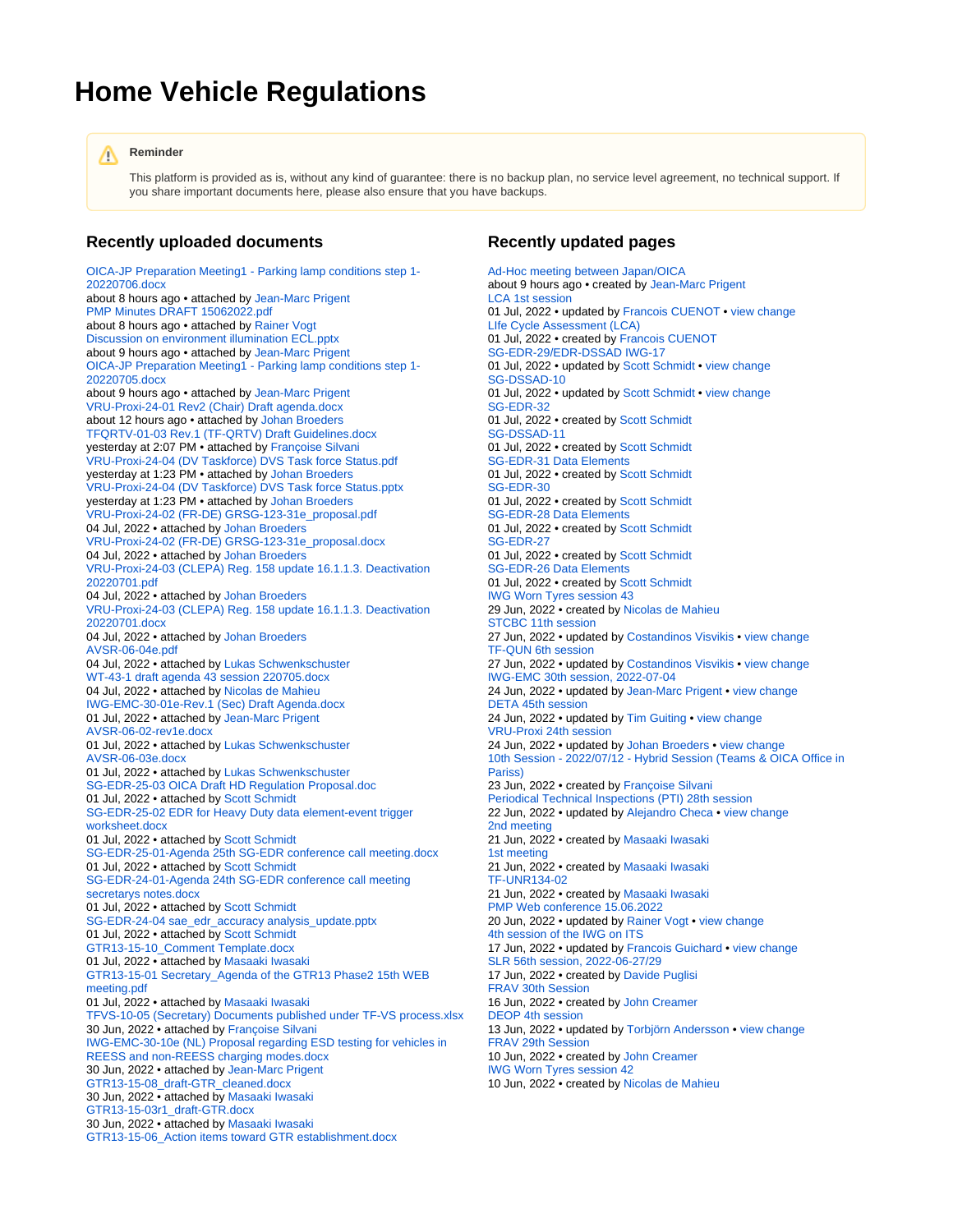## **Home Vehicle Regulations**

## **Reminder** Λ

This platform is provided as is, without any kind of guarantee: there is no backup plan, no service level agreement, no technical support. If you share important documents here, please also ensure that you have backups.

## **Recently uploaded documents**

[OICA-JP Preparation Meeting1 - Parking lamp conditions step 1-](https://wiki.unece.org/pages/viewpage.action?pageId=172852290&preview=%2F172852290%2F172852294%2FOICA-JP+Preparation+Meeting1+-+Parking+lamp+conditions+step+1-20220706.docx) [20220706.docx](https://wiki.unece.org/pages/viewpage.action?pageId=172852290&preview=%2F172852290%2F172852294%2FOICA-JP+Preparation+Meeting1+-+Parking+lamp+conditions+step+1-20220706.docx) about 8 hours ago • attached by [Jean-Marc Prigent](https://wiki.unece.org/display/~prigent) [PMP Minutes DRAFT 15062022.pdf](https://wiki.unece.org/display/trans/PMP+Web+conference+15.06.2022?preview=%2F172851532%2F172852293%2FPMP+Minutes+DRAFT+15062022.pdf) about 8 hours ago · attached by [Rainer Vogt](https://wiki.unece.org/display/~rvogt) [Discussion on environment illumination ECL.pptx](https://wiki.unece.org/pages/viewpage.action?pageId=172852290&preview=%2F172852290%2F172852292%2FDiscussion+on+environment+illumination+ECL.pptx) about 9 hours ago • attached by [Jean-Marc Prigent](https://wiki.unece.org/display/~prigent) [OICA-JP Preparation Meeting1 - Parking lamp conditions step 1-](https://wiki.unece.org/pages/viewpage.action?pageId=172852290&preview=%2F172852290%2F172852291%2FOICA-JP+Preparation+Meeting1+-+Parking+lamp+conditions+step+1-20220705.docx) [20220705.docx](https://wiki.unece.org/pages/viewpage.action?pageId=172852290&preview=%2F172852290%2F172852291%2FOICA-JP+Preparation+Meeting1+-+Parking+lamp+conditions+step+1-20220705.docx) about 9 hours ago • attached by [Jean-Marc Prigent](https://wiki.unece.org/display/~prigent) [VRU-Proxi-24-01 Rev2 \(Chair\) Draft agenda.docx](https://wiki.unece.org/display/trans/VRU-Proxi+24th+session?preview=%2F172851979%2F172852287%2FVRU-Proxi-24-01+Rev2+%28Chair%29+Draft+agenda.docx) about 12 hours ago • attached by [Johan Broeders](https://wiki.unece.org/display/~jbroeders) [TFQRTV-01-03 Rev.1 \(TF-QRTV\) Draft Guidelines.docx](https://wiki.unece.org/display/trans/TF-QRTV+%28UN-R138-02%29+-+1st+Session+%28Virtual+only%29+-+May+20%2C+2022?preview=%2F166724669%2F172852262%2FTFQRTV-01-03+Rev.1+%28TF-QRTV%29+Draft+Guidelines.docx) yesterday at 2:07 PM • attached by [Françoise Silvani](https://wiki.unece.org/display/~silvani) [VRU-Proxi-24-04 \(DV Taskforce\) DVS Task force Status.pdf](https://wiki.unece.org/display/trans/VRU-Proxi+24th+session?preview=%2F172851979%2F172852261%2FVRU-Proxi-24-04+%28DV+Taskforce%29+DVS+Task+force+Status.pdf) yesterday at 1:23 PM • attached by [Johan Broeders](https://wiki.unece.org/display/~jbroeders) [VRU-Proxi-24-04 \(DV Taskforce\) DVS Task force Status.pptx](https://wiki.unece.org/display/trans/VRU-Proxi+24th+session?preview=%2F172851979%2F172852260%2FVRU-Proxi-24-04+%28DV+Taskforce%29+DVS+Task+force+Status.pptx) yesterday at 1:23 PM • attached by [Johan Broeders](https://wiki.unece.org/display/~jbroeders) [VRU-Proxi-24-02 \(FR-DE\) GRSG-123-31e\\_proposal.pdf](https://wiki.unece.org/display/trans/VRU-Proxi+24th+session?preview=%2F172851979%2F172852253%2FVRU-Proxi-24-02+%28FR-DE%29+GRSG-123-31e_proposal.pdf) 04 Jul, 2022 • attached by [Johan Broeders](https://wiki.unece.org/display/~jbroeders) [VRU-Proxi-24-02 \(FR-DE\) GRSG-123-31e\\_proposal.docx](https://wiki.unece.org/display/trans/VRU-Proxi+24th+session?preview=%2F172851979%2F172852252%2FVRU-Proxi-24-02+%28FR-DE%29+GRSG-123-31e_proposal.docx) 04 Jul, 2022 • attached by [Johan Broeders](https://wiki.unece.org/display/~jbroeders) [VRU-Proxi-24-03 \(CLEPA\) Reg. 158 update 16.1.1.3. Deactivation](https://wiki.unece.org/display/trans/VRU-Proxi+24th+session?preview=%2F172851979%2F172852251%2FVRU-Proxi-24-03+%28CLEPA%29+Reg.+158+update+16.1.1.3.+Deactivation+20220701.pdf)  [20220701.pdf](https://wiki.unece.org/display/trans/VRU-Proxi+24th+session?preview=%2F172851979%2F172852251%2FVRU-Proxi-24-03+%28CLEPA%29+Reg.+158+update+16.1.1.3.+Deactivation+20220701.pdf) 04 Jul, 2022 • attached by [Johan Broeders](https://wiki.unece.org/display/~jbroeders) [VRU-Proxi-24-03 \(CLEPA\) Reg. 158 update 16.1.1.3. Deactivation](https://wiki.unece.org/display/trans/VRU-Proxi+24th+session?preview=%2F172851979%2F172852250%2FVRU-Proxi-24-03+%28CLEPA%29+Reg.+158+update+16.1.1.3.+Deactivation+20220701.docx)  [20220701.docx](https://wiki.unece.org/display/trans/VRU-Proxi+24th+session?preview=%2F172851979%2F172852250%2FVRU-Proxi-24-03+%28CLEPA%29+Reg.+158+update+16.1.1.3.+Deactivation+20220701.docx) 04 Jul, 2022 • attached by [Johan Broeders](https://wiki.unece.org/display/~jbroeders) [AVSR-06-04e.pdf](https://wiki.unece.org/display/trans/AVSR+-+6th+session%2C+2022-06-15?preview=%2F169018004%2F172852247%2FAVSR-06-04e.pdf) 04 Jul, 2022 • attached by [Lukas Schwenkschuster](https://wiki.unece.org/display/~lschwenkschuster) [WT-43-1 draft agenda 43 session 220705.docx](https://wiki.unece.org/display/trans/IWG+Worn+Tyres+session+43?preview=%2F172852139%2F172852243%2FWT-43-1+draft+agenda+43+session+220705.docx) 04 Jul, 2022 • attached by [Nicolas de Mahieu](https://wiki.unece.org/display/~mahieu) [IWG-EMC-30-01e-Rev.1 \(Sec\) Draft Agenda.docx](https://wiki.unece.org/display/trans/IWG-EMC+30th+session%2C+2022-07-04?preview=%2F172851986%2F172852226%2FIWG-EMC-30-01e-Rev.1+%28Sec%29+Draft+Agenda.docx) 01 Jul, 2022 • attached by [Jean-Marc Prigent](https://wiki.unece.org/display/~prigent) [AVSR-06-02-rev1e.docx](https://wiki.unece.org/display/trans/AVSR+-+6th+session%2C+2022-06-15?preview=%2F169018004%2F172852223%2FAVSR-06-02-rev1e.docx) 01 Jul, 2022 • attached by [Lukas Schwenkschuster](https://wiki.unece.org/display/~lschwenkschuster) [AVSR-06-03e.docx](https://wiki.unece.org/display/trans/AVSR+-+6th+session%2C+2022-06-15?preview=%2F169018004%2F172852224%2FAVSR-06-03e.docx) 01 Jul, 2022 • attached by [Lukas Schwenkschuster](https://wiki.unece.org/display/~lschwenkschuster) [SG-EDR-25-03 OICA Draft HD Regulation Proposal.doc](https://wiki.unece.org/display/trans/SG-EDR-25?preview=%2F172851240%2F172852217%2FSG-EDR-25-03+OICA+Draft+HD+Regulation+Proposal.doc) 01 Jul, 2022 • attached by [Scott Schmidt](https://wiki.unece.org/display/~sschmidt) [SG-EDR-25-02 EDR for Heavy Duty data element-event trigger](https://wiki.unece.org/display/trans/SG-EDR-25?preview=%2F172851240%2F172852216%2FSG-EDR-25-02+EDR+for+Heavy+Duty+data+element-event+trigger+worksheet.docx)  [worksheet.docx](https://wiki.unece.org/display/trans/SG-EDR-25?preview=%2F172851240%2F172852216%2FSG-EDR-25-02+EDR+for+Heavy+Duty+data+element-event+trigger+worksheet.docx) 01 Jul, 2022 • attached by [Scott Schmidt](https://wiki.unece.org/display/~sschmidt) [SG-EDR-25-01-Agenda 25th SG-EDR conference call meeting.docx](https://wiki.unece.org/display/trans/SG-EDR-25?preview=%2F172851240%2F172852215%2FSG-EDR-25-01-Agenda+25th+SG-EDR+conference+call+meeting.docx) 01 Jul, 2022 • attached by [Scott Schmidt](https://wiki.unece.org/display/~sschmidt) [SG-EDR-24-01-Agenda 24th SG-EDR conference call meeting](https://wiki.unece.org/display/trans/SG-EDR-24?preview=%2F169017606%2F172852214%2FSG-EDR-24-01-Agenda+24th+SG-EDR+conference+call+meeting+secretarys+notes.docx)  [secretarys notes.docx](https://wiki.unece.org/display/trans/SG-EDR-24?preview=%2F169017606%2F172852214%2FSG-EDR-24-01-Agenda+24th+SG-EDR+conference+call+meeting+secretarys+notes.docx) 01 Jul, 2022 • attached by [Scott Schmidt](https://wiki.unece.org/display/~sschmidt) [SG-EDR-24-04 sae\\_edr\\_accuracy analysis\\_update.pptx](https://wiki.unece.org/display/trans/SG-EDR-24?preview=%2F169017606%2F172852213%2FSG-EDR-24-04+sae_edr_accuracy+analysis_update.pptx) 01 Jul, 2022 • attached by [Scott Schmidt](https://wiki.unece.org/display/~sschmidt) [GTR13-15-10\\_Comment Template.docx](https://wiki.unece.org/display/trans/GTR13-2-15th+session?preview=%2F171868208%2F172852169%2FGTR13-15-10_Comment+Template.docx) 01 Jul, 2022 • attached by [Masaaki Iwasaki](https://wiki.unece.org/display/~miwasaki) [GTR13-15-01 Secretary\\_Agenda of the GTR13 Phase2 15th WEB](https://wiki.unece.org/display/trans/GTR13-2-15th+session?preview=%2F171868208%2F172852078%2FGTR13-15-01++Secretary_Agenda+of+the+GTR13+Phase2+15th+WEB+meeting.pdf)  [meeting.pdf](https://wiki.unece.org/display/trans/GTR13-2-15th+session?preview=%2F171868208%2F172852078%2FGTR13-15-01++Secretary_Agenda+of+the+GTR13+Phase2+15th+WEB+meeting.pdf) 01 Jul, 2022 • attached by [Masaaki Iwasaki](https://wiki.unece.org/display/~miwasaki) [TFVS-10-05 \(Secretary\) Documents published under TF-VS process.xlsx](https://wiki.unece.org/pages/viewpage.action?pageId=172851945&preview=%2F172851945%2F172852159%2FTFVS-10-05+%28Secretary%29+Documents+published+under+TF-VS+process.xlsx) 30 Jun, 2022 • attached by [Françoise Silvani](https://wiki.unece.org/display/~silvani) [IWG-EMC-30-10e \(NL\) Proposal regarding ESD testing for vehicles in](https://wiki.unece.org/display/trans/IWG-EMC+30th+session%2C+2022-07-04?preview=%2F172851986%2F172852158%2FIWG-EMC-30-10e+%28NL%29+Proposal+regarding+ESD+testing+for+vehicles+in+REESS+and+non-REESS+charging+modes.docx)  [REESS and non-REESS charging modes.docx](https://wiki.unece.org/display/trans/IWG-EMC+30th+session%2C+2022-07-04?preview=%2F172851986%2F172852158%2FIWG-EMC-30-10e+%28NL%29+Proposal+regarding+ESD+testing+for+vehicles+in+REESS+and+non-REESS+charging+modes.docx) 30 Jun, 2022 • attached by [Jean-Marc Prigent](https://wiki.unece.org/display/~prigent) [GTR13-15-08\\_draft-GTR\\_cleaned.docx](https://wiki.unece.org/display/trans/GTR13-2-15th+session?preview=%2F171868208%2F172852157%2FGTR13-15-08_draft-GTR_cleaned.docx) 30 Jun, 2022 • attached by [Masaaki Iwasaki](https://wiki.unece.org/display/~miwasaki) [GTR13-15-03r1\\_draft-GTR.docx](https://wiki.unece.org/display/trans/GTR13-2-15th+session?preview=%2F171868208%2F172852156%2FGTR13-15-03r1_draft-GTR.docx) 30 Jun, 2022 • attached by [Masaaki Iwasaki](https://wiki.unece.org/display/~miwasaki) [GTR13-15-06\\_Action items toward GTR establishment.docx](https://wiki.unece.org/display/trans/GTR13-2-15th+session?preview=%2F171868208%2F172852155%2FGTR13-15-06_Action+items+toward+GTR+establishment.docx)

## **Recently updated pages**

[Ad-Hoc meeting between Japan/OICA](https://wiki.unece.org/pages/viewpage.action?pageId=172852290) about 9 hours ago • created by [Jean-Marc Prigent](https://wiki.unece.org/display/~prigent) [LCA 1st session](https://wiki.unece.org/display/trans/LCA+1st+session) 01 Jul, 2022 • updated by [Francois CUENOT](https://wiki.unece.org/display/~cuenot) • [view change](https://wiki.unece.org/pages/diffpagesbyversion.action?pageId=172852238&selectedPageVersions=2&selectedPageVersions=1) [LIfe Cycle Assessment \(LCA\)](https://wiki.unece.org/pages/viewpage.action?pageId=172852228) 01 Jul, 2022 • created by [Francois CUENOT](https://wiki.unece.org/display/~cuenot) [SG-EDR-29/EDR-DSSAD IWG-17](https://wiki.unece.org/pages/viewpage.action?pageId=172852202) 01 Jul, 2022 • updated by [Scott Schmidt](https://wiki.unece.org/display/~sschmidt) • [view change](https://wiki.unece.org/pages/diffpagesbyversion.action?pageId=172852202&selectedPageVersions=2&selectedPageVersions=1) [SG-DSSAD-10](https://wiki.unece.org/display/trans/SG-DSSAD-10) 01 Jul, 2022 • updated by [Scott Schmidt](https://wiki.unece.org/display/~sschmidt) • [view change](https://wiki.unece.org/pages/diffpagesbyversion.action?pageId=172852196&selectedPageVersions=2&selectedPageVersions=1) [SG-EDR-32](https://wiki.unece.org/display/trans/SG-EDR-32) 01 Jul, 2022 • created by [Scott Schmidt](https://wiki.unece.org/display/~sschmidt) [SG-DSSAD-11](https://wiki.unece.org/display/trans/SG-DSSAD-11) 01 Jul, 2022 • created by [Scott Schmidt](https://wiki.unece.org/display/~sschmidt) [SG-EDR-31 Data Elements](https://wiki.unece.org/display/trans/SG-EDR-31+Data+Elements) 01 Jul, 2022 • created by [Scott Schmidt](https://wiki.unece.org/display/~sschmidt) [SG-EDR-30](https://wiki.unece.org/display/trans/SG-EDR-30) 01 Jul, 2022 • created by [Scott Schmidt](https://wiki.unece.org/display/~sschmidt) [SG-EDR-28 Data Elements](https://wiki.unece.org/display/trans/SG-EDR-28+Data+Elements) 01 Jul, 2022 • created by [Scott Schmidt](https://wiki.unece.org/display/~sschmidt) [SG-EDR-27](https://wiki.unece.org/display/trans/SG-EDR-27) 01 Jul, 2022 • created by [Scott Schmidt](https://wiki.unece.org/display/~sschmidt) [SG-EDR-26 Data Elements](https://wiki.unece.org/display/trans/SG-EDR-26+Data+Elements) 01 Jul, 2022 • created by [Scott Schmidt](https://wiki.unece.org/display/~sschmidt) [IWG Worn Tyres session 43](https://wiki.unece.org/display/trans/IWG+Worn+Tyres+session+43) 29 Jun, 2022 • created by [Nicolas de Mahieu](https://wiki.unece.org/display/~mahieu) [STCBC 11th session](https://wiki.unece.org/display/trans/STCBC+11th+session) 27 Jun, 2022 • updated by [Costandinos Visvikis](https://wiki.unece.org/display/~cvisvikis) • [view change](https://wiki.unece.org/pages/diffpagesbyversion.action?pageId=172852046&selectedPageVersions=2&selectedPageVersions=1) [TF-QUN 6th session](https://wiki.unece.org/display/trans/TF-QUN+6th+session) 27 Jun, 2022 • updated by [Costandinos Visvikis](https://wiki.unece.org/display/~cvisvikis) • [view change](https://wiki.unece.org/pages/diffpagesbyversion.action?pageId=172852041&selectedPageVersions=3&selectedPageVersions=2) [IWG-EMC 30th session, 2022-07-04](https://wiki.unece.org/display/trans/IWG-EMC+30th+session%2C+2022-07-04) 24 Jun, 2022 • updated by [Jean-Marc Prigent](https://wiki.unece.org/display/~prigent) • [view change](https://wiki.unece.org/pages/diffpagesbyversion.action?pageId=172851986&selectedPageVersions=3&selectedPageVersions=2) [DETA 45th session](https://wiki.unece.org/display/trans/DETA+45th+session) 24 Jun, 2022 • updated by [Tim Guiting](https://wiki.unece.org/display/~guiting) • [view change](https://wiki.unece.org/pages/diffpagesbyversion.action?pageId=172851382&selectedPageVersions=2&selectedPageVersions=1) [VRU-Proxi 24th session](https://wiki.unece.org/display/trans/VRU-Proxi+24th+session) 24 Jun, 2022 • updated by [Johan Broeders](https://wiki.unece.org/display/~jbroeders) • [view change](https://wiki.unece.org/pages/diffpagesbyversion.action?pageId=172851979&selectedPageVersions=2&selectedPageVersions=1) [10th Session - 2022/07/12 - Hybrid Session \(Teams & OICA Office in](https://wiki.unece.org/pages/viewpage.action?pageId=172851945)  [Pariss\)](https://wiki.unece.org/pages/viewpage.action?pageId=172851945) 23 Jun, 2022 • created by [Françoise Silvani](https://wiki.unece.org/display/~silvani) [Periodical Technical Inspections \(PTI\) 28th session](https://wiki.unece.org/display/trans/Periodical+Technical+Inspections+%28PTI%29+28th+session) 22 Jun, 2022 • updated by [Alejandro Checa](https://wiki.unece.org/display/~acheca) • [view change](https://wiki.unece.org/pages/diffpagesbyversion.action?pageId=171868219&selectedPageVersions=2&selectedPageVersions=1) [2nd meeting](https://wiki.unece.org/display/trans/2nd+meeting) 21 Jun, 2022 • created by [Masaaki Iwasaki](https://wiki.unece.org/display/~miwasaki) [1st meeting](https://wiki.unece.org/display/trans/1st+meeting) 21 Jun, 2022 • created by [Masaaki Iwasaki](https://wiki.unece.org/display/~miwasaki) [TF-UNR134-02](https://wiki.unece.org/display/trans/TF-UNR134-02) 21 Jun, 2022 • created by [Masaaki Iwasaki](https://wiki.unece.org/display/~miwasaki) [PMP Web conference 15.06.2022](https://wiki.unece.org/display/trans/PMP+Web+conference+15.06.2022) 20 Jun, 2022 • updated by [Rainer Vogt](https://wiki.unece.org/display/~rvogt) • [view change](https://wiki.unece.org/pages/diffpagesbyversion.action?pageId=172851532&selectedPageVersions=2&selectedPageVersions=1) [4th session of the IWG on ITS](https://wiki.unece.org/display/trans/4th+session+of+the+IWG+on+ITS) 17 Jun, 2022 • updated by [Francois Guichard](https://wiki.unece.org/display/~Guichard) • [view change](https://wiki.unece.org/pages/diffpagesbyversion.action?pageId=169018289&selectedPageVersions=6&selectedPageVersions=5) [SLR 56th session, 2022-06-27/29](https://wiki.unece.org/pages/viewpage.action?pageId=172851509) 17 Jun, 2022 • created by [Davide Puglisi](https://wiki.unece.org/display/~puglisi) [FRAV 30th Session](https://wiki.unece.org/display/trans/FRAV+30th+Session) 16 Jun, 2022 • created by [John Creamer](https://wiki.unece.org/display/~jcreamer) [DEOP 4th session](https://wiki.unece.org/display/trans/DEOP+4th+session) 13 Jun, 2022 • updated by [Torbjörn Andersson](https://wiki.unece.org/display/~tandersson) • [view change](https://wiki.unece.org/pages/diffpagesbyversion.action?pageId=172851312&selectedPageVersions=3&selectedPageVersions=2) [FRAV 29th Session](https://wiki.unece.org/display/trans/FRAV+29th+Session) 10 Jun, 2022 • created by [John Creamer](https://wiki.unece.org/display/~jcreamer) [IWG Worn Tyres session 42](https://wiki.unece.org/display/trans/IWG+Worn+Tyres+session+42) 10 Jun, 2022 • created by [Nicolas de Mahieu](https://wiki.unece.org/display/~mahieu)